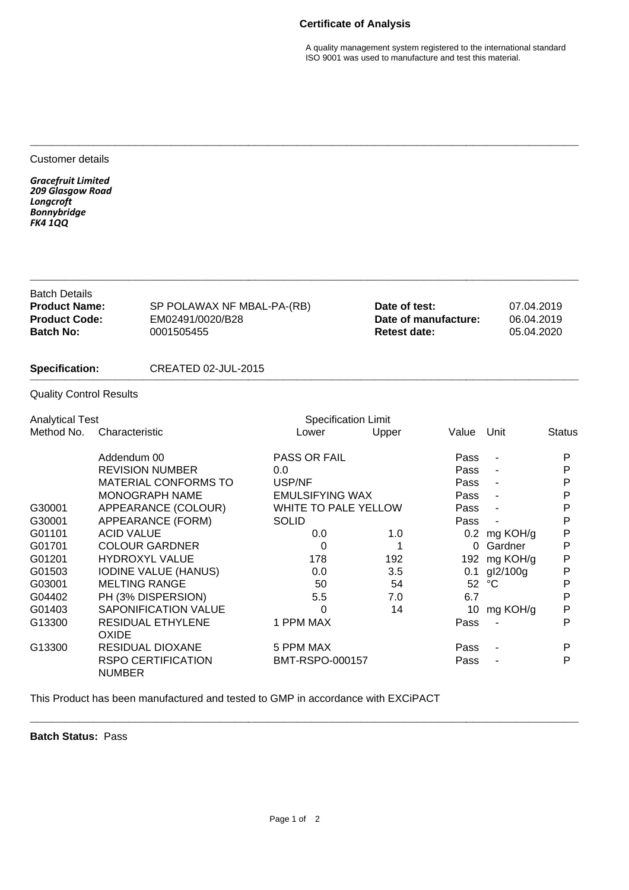## **Certificate of Analysis**

A quality management system registered to the international standard ISO 9001 was used to manufacture and test this material.

| Customer details                                                                                                         |                                                                          |                                                                                                                                                                                                                                                                                       |                                                                                                                                                                 |                                                              |                                                                              |                                                                                                      |                                                                               |
|--------------------------------------------------------------------------------------------------------------------------|--------------------------------------------------------------------------|---------------------------------------------------------------------------------------------------------------------------------------------------------------------------------------------------------------------------------------------------------------------------------------|-----------------------------------------------------------------------------------------------------------------------------------------------------------------|--------------------------------------------------------------|------------------------------------------------------------------------------|------------------------------------------------------------------------------------------------------|-------------------------------------------------------------------------------|
| <b>Gracefruit Limited</b><br>209 Glasgow Road<br>Longcroft<br><b>Bonnybridge</b><br><b>FK4 1QQ</b>                       |                                                                          |                                                                                                                                                                                                                                                                                       |                                                                                                                                                                 |                                                              |                                                                              |                                                                                                      |                                                                               |
| <b>Batch Details</b><br><b>Product Name:</b><br><b>Product Code:</b><br><b>Batch No:</b><br>0001505455<br>Specification: |                                                                          | SP POLAWAX NF MBAL-PA-(RB)<br>EM02491/0020/B28                                                                                                                                                                                                                                        |                                                                                                                                                                 | Date of test:<br>Date of manufacture:<br><b>Retest date:</b> |                                                                              | 07.04.2019<br>06.04.2019<br>05.04.2020                                                               |                                                                               |
|                                                                                                                          |                                                                          | <b>CREATED 02-JUL-2015</b>                                                                                                                                                                                                                                                            |                                                                                                                                                                 |                                                              |                                                                              |                                                                                                      |                                                                               |
| <b>Quality Control Results</b>                                                                                           |                                                                          |                                                                                                                                                                                                                                                                                       |                                                                                                                                                                 |                                                              |                                                                              |                                                                                                      |                                                                               |
| <b>Analytical Test</b>                                                                                                   |                                                                          |                                                                                                                                                                                                                                                                                       | <b>Specification Limit</b>                                                                                                                                      |                                                              |                                                                              |                                                                                                      |                                                                               |
| Method No.                                                                                                               | Characteristic                                                           |                                                                                                                                                                                                                                                                                       | Lower                                                                                                                                                           | Upper                                                        | Value                                                                        | Unit                                                                                                 | Status                                                                        |
| G30001<br>G30001<br>G01101<br>G01701<br>G01201<br>G01503<br>G03001<br>G04402<br>G01403<br>G13300                         | Addendum 00<br><b>ACID VALUE</b><br><b>MELTING RANGE</b><br><b>OXIDE</b> | <b>REVISION NUMBER</b><br><b>MATERIAL CONFORMS TO</b><br>MONOGRAPH NAME<br>APPEARANCE (COLOUR)<br>APPEARANCE (FORM)<br><b>COLOUR GARDNER</b><br><b>HYDROXYL VALUE</b><br><b>IODINE VALUE (HANUS)</b><br>PH (3% DISPERSION)<br><b>SAPONIFICATION VALUE</b><br><b>RESIDUAL ETHYLENE</b> | PASS OR FAIL<br>0.0<br>USP/NF<br><b>EMULSIFYING WAX</b><br><b>WHITE TO PALE YELLOW</b><br><b>SOLID</b><br>0.0<br>0<br>178<br>0.0<br>50<br>5.5<br>0<br>1 PPM MAX | 1.0<br>1<br>192<br>3.5<br>54<br>7.0<br>14                    | Pass<br>Pass<br>Pass<br>Pass<br>Pass<br>Pass<br>0<br>52<br>6.7<br>10<br>Pass | $\blacksquare$<br>0.2 mg KOH/g<br>Gardner<br>192 mg KOH/g<br>0.1 gl2/100g<br>$^{\circ}C$<br>mg KOH/g | P<br>P<br>P<br>P<br>P<br>P<br>P<br>Ρ<br>P<br>P<br>Ρ<br>P<br>$\mathsf{P}$<br>P |
| G13300                                                                                                                   | <b>NUMBER</b>                                                            | <b>RESIDUAL DIOXANE</b><br><b>RSPO CERTIFICATION</b>                                                                                                                                                                                                                                  | 5 PPM MAX<br>BMT-RSPO-000157                                                                                                                                    |                                                              | Pass<br>Pass                                                                 |                                                                                                      | P<br>P                                                                        |

**\_\_\_\_\_\_\_\_\_\_\_\_\_\_\_\_\_\_\_\_\_\_\_\_\_\_\_\_\_\_\_\_\_\_\_\_\_\_\_\_\_\_\_\_\_\_\_\_\_\_\_\_\_\_\_\_\_\_\_\_\_\_\_\_\_\_\_\_\_\_\_\_\_\_\_\_\_\_**

This Product has been manufactured and tested to GMP in accordance with EXCiPACT

**Batch Status:** Pass

**\_\_\_\_\_\_\_\_\_\_\_\_\_\_\_\_\_\_\_\_\_\_\_\_\_\_\_\_\_\_\_\_\_\_\_\_\_\_\_\_\_\_\_\_\_\_\_\_\_\_\_\_\_\_\_\_\_\_\_\_\_\_\_\_\_\_\_\_\_\_\_\_\_\_\_\_\_\_**